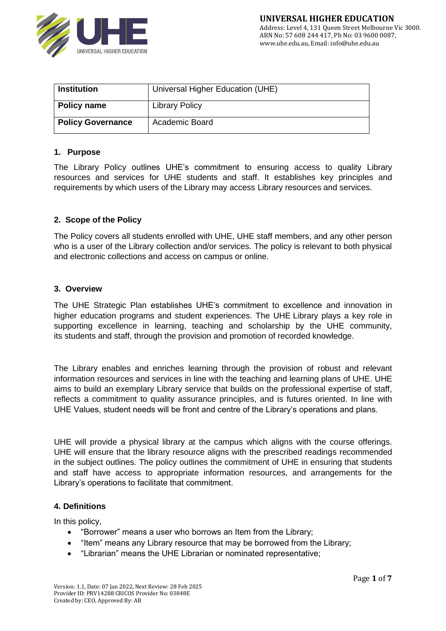

| <b>Institution</b>       | Universal Higher Education (UHE) |
|--------------------------|----------------------------------|
| Policy name              | <b>Library Policy</b>            |
| <b>Policy Governance</b> | Academic Board                   |

### **1. Purpose**

The Library Policy outlines UHE's commitment to ensuring access to quality Library resources and services for UHE students and staff. It establishes key principles and requirements by which users of the Library may access Library resources and services.

### **2. Scope of the Policy**

The Policy covers all students enrolled with UHE, UHE staff members, and any other person who is a user of the Library collection and/or services. The policy is relevant to both physical and electronic collections and access on campus or online.

#### **3. Overview**

The UHE Strategic Plan establishes UHE's commitment to excellence and innovation in higher education programs and student experiences. The UHE Library plays a key role in supporting excellence in learning, teaching and scholarship by the UHE community, its students and staff, through the provision and promotion of recorded knowledge.

The Library enables and enriches learning through the provision of robust and relevant information resources and services in line with the teaching and learning plans of UHE. UHE aims to build an exemplary Library service that builds on the professional expertise of staff, reflects a commitment to quality assurance principles, and is futures oriented. In line with UHE Values, student needs will be front and centre of the Library's operations and plans.

UHE will provide a physical library at the campus which aligns with the course offerings. UHE will ensure that the library resource aligns with the prescribed readings recommended in the subject outlines. The policy outlines the commitment of UHE in ensuring that students and staff have access to appropriate information resources, and arrangements for the Library's operations to facilitate that commitment.

#### **4. Definitions**

In this policy,

- "Borrower" means a user who borrows an Item from the Library;
- "Item" means any Library resource that may be borrowed from the Library;
- "Librarian" means the UHE Librarian or nominated representative;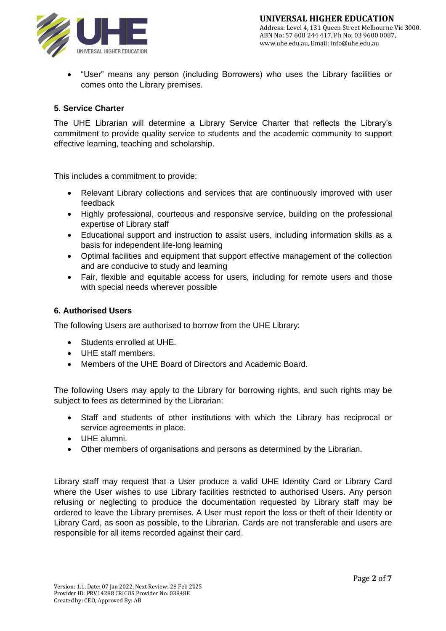

• "User" means any person (including Borrowers) who uses the Library facilities or comes onto the Library premises.

# **5. Service Charter**

The UHE Librarian will determine a Library Service Charter that reflects the Library's commitment to provide quality service to students and the academic community to support effective learning, teaching and scholarship.

This includes a commitment to provide:

- Relevant Library collections and services that are continuously improved with user feedback
- Highly professional, courteous and responsive service, building on the professional expertise of Library staff
- Educational support and instruction to assist users, including information skills as a basis for independent life-long learning
- Optimal facilities and equipment that support effective management of the collection and are conducive to study and learning
- Fair, flexible and equitable access for users, including for remote users and those with special needs wherever possible

# **6. Authorised Users**

The following Users are authorised to borrow from the UHE Library:

- Students enrolled at UHE.
- UHE staff members.
- Members of the UHE Board of Directors and Academic Board.

The following Users may apply to the Library for borrowing rights, and such rights may be subject to fees as determined by the Librarian:

- Staff and students of other institutions with which the Library has reciprocal or service agreements in place.
- UHE alumni.
- Other members of organisations and persons as determined by the Librarian.

Library staff may request that a User produce a valid UHE Identity Card or Library Card where the User wishes to use Library facilities restricted to authorised Users. Any person refusing or neglecting to produce the documentation requested by Library staff may be ordered to leave the Library premises. A User must report the loss or theft of their Identity or Library Card, as soon as possible, to the Librarian. Cards are not transferable and users are responsible for all items recorded against their card.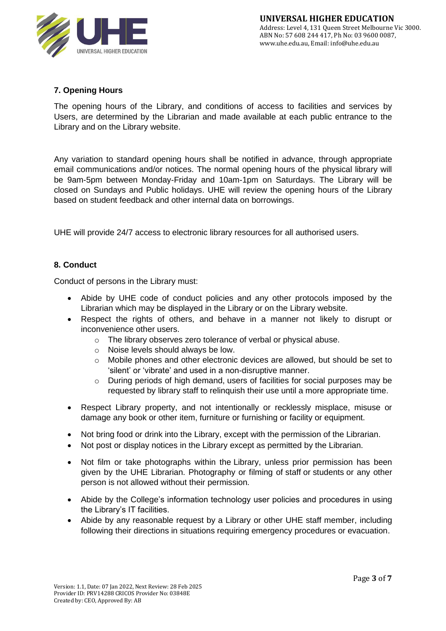

# **7. Opening Hours**

The opening hours of the Library, and conditions of access to facilities and services by Users, are determined by the Librarian and made available at each public entrance to the Library and on the Library website.

Any variation to standard opening hours shall be notified in advance, through appropriate email communications and/or notices. The normal opening hours of the physical library will be 9am-5pm between Monday-Friday and 10am-1pm on Saturdays. The Library will be closed on Sundays and Public holidays. UHE will review the opening hours of the Library based on student feedback and other internal data on borrowings.

UHE will provide 24/7 access to electronic library resources for all authorised users.

# **8. Conduct**

Conduct of persons in the Library must:

- Abide by UHE code of conduct policies and any other protocols imposed by the Librarian which may be displayed in the Library or on the Library website.
- Respect the rights of others, and behave in a manner not likely to disrupt or inconvenience other users.
	- o The library observes zero tolerance of verbal or physical abuse.
	- o Noise levels should always be low.
	- $\circ$  Mobile phones and other electronic devices are allowed, but should be set to 'silent' or 'vibrate' and used in a non-disruptive manner.
	- o During periods of high demand, users of facilities for social purposes may be requested by library staff to relinquish their use until a more appropriate time.
- Respect Library property, and not intentionally or recklessly misplace, misuse or damage any book or other item, furniture or furnishing or facility or equipment.
- Not bring food or drink into the Library, except with the permission of the Librarian.
- Not post or display notices in the Library except as permitted by the Librarian.
- Not film or take photographs within the Library, unless prior permission has been given by the UHE Librarian. Photography or filming of staff or students or any other person is not allowed without their permission.
- Abide by the College's information technology user policies and procedures in using the Library's IT facilities.
- Abide by any reasonable request by a Library or other UHE staff member, including following their directions in situations requiring emergency procedures or evacuation.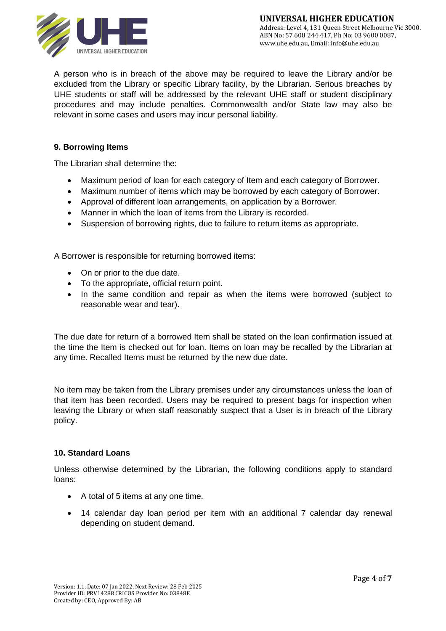

A person who is in breach of the above may be required to leave the Library and/or be excluded from the Library or specific Library facility, by the Librarian. Serious breaches by UHE students or staff will be addressed by the relevant UHE staff or student disciplinary procedures and may include penalties. Commonwealth and/or State law may also be relevant in some cases and users may incur personal liability.

# **9. Borrowing Items**

The Librarian shall determine the:

- Maximum period of loan for each category of Item and each category of Borrower.
- Maximum number of items which may be borrowed by each category of Borrower.
- Approval of different loan arrangements, on application by a Borrower.
- Manner in which the loan of items from the Library is recorded.
- Suspension of borrowing rights, due to failure to return items as appropriate.

A Borrower is responsible for returning borrowed items:

- On or prior to the due date.
- To the appropriate, official return point.
- In the same condition and repair as when the items were borrowed (subject to reasonable wear and tear).

The due date for return of a borrowed Item shall be stated on the loan confirmation issued at the time the Item is checked out for loan. Items on loan may be recalled by the Librarian at any time. Recalled Items must be returned by the new due date.

No item may be taken from the Library premises under any circumstances unless the loan of that item has been recorded. Users may be required to present bags for inspection when leaving the Library or when staff reasonably suspect that a User is in breach of the Library policy.

# **10. Standard Loans**

Unless otherwise determined by the Librarian, the following conditions apply to standard loans:

- A total of 5 items at any one time.
- 14 calendar day loan period per item with an additional 7 calendar day renewal depending on student demand.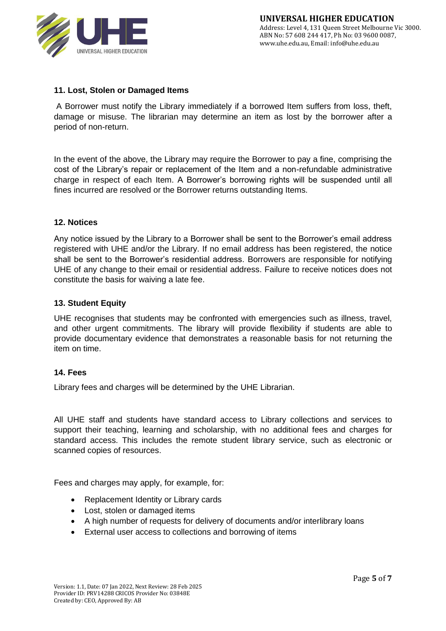

# **11. Lost, Stolen or Damaged Items**

A Borrower must notify the Library immediately if a borrowed Item suffers from loss, theft, damage or misuse. The librarian may determine an item as lost by the borrower after a period of non-return.

In the event of the above, the Library may require the Borrower to pay a fine, comprising the cost of the Library's repair or replacement of the Item and a non-refundable administrative charge in respect of each Item. A Borrower's borrowing rights will be suspended until all fines incurred are resolved or the Borrower returns outstanding Items.

# **12. Notices**

Any notice issued by the Library to a Borrower shall be sent to the Borrower's email address registered with UHE and/or the Library. If no email address has been registered, the notice shall be sent to the Borrower's residential address. Borrowers are responsible for notifying UHE of any change to their email or residential address. Failure to receive notices does not constitute the basis for waiving a late fee.

### **13. Student Equity**

UHE recognises that students may be confronted with emergencies such as illness, travel, and other urgent commitments. The library will provide flexibility if students are able to provide documentary evidence that demonstrates a reasonable basis for not returning the item on time.

# **14. Fees**

Library fees and charges will be determined by the UHE Librarian.

All UHE staff and students have standard access to Library collections and services to support their teaching, learning and scholarship, with no additional fees and charges for standard access. This includes the remote student library service, such as electronic or scanned copies of resources.

Fees and charges may apply, for example, for:

- Replacement Identity or Library cards
- Lost, stolen or damaged items
- A high number of requests for delivery of documents and/or interlibrary loans
- External user access to collections and borrowing of items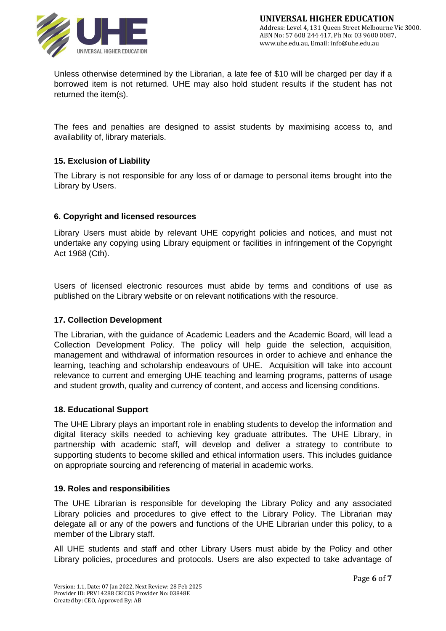

Unless otherwise determined by the Librarian, a late fee of \$10 will be charged per day if a borrowed item is not returned. UHE may also hold student results if the student has not returned the item(s).

The fees and penalties are designed to assist students by maximising access to, and availability of, library materials.

# **15. Exclusion of Liability**

The Library is not responsible for any loss of or damage to personal items brought into the Library by Users.

### **6. Copyright and licensed resources**

Library Users must abide by relevant UHE copyright policies and notices, and must not undertake any copying using Library equipment or facilities in infringement of the Copyright Act 1968 (Cth).

Users of licensed electronic resources must abide by terms and conditions of use as published on the Library website or on relevant notifications with the resource.

### **17. Collection Development**

The Librarian, with the guidance of Academic Leaders and the Academic Board, will lead a Collection Development Policy. The policy will help guide the selection, acquisition, management and withdrawal of information resources in order to achieve and enhance the learning, teaching and scholarship endeavours of UHE. Acquisition will take into account relevance to current and emerging UHE teaching and learning programs, patterns of usage and student growth, quality and currency of content, and access and licensing conditions.

# **18. Educational Support**

The UHE Library plays an important role in enabling students to develop the information and digital literacy skills needed to achieving key graduate attributes. The UHE Library, in partnership with academic staff, will develop and deliver a strategy to contribute to supporting students to become skilled and ethical information users. This includes guidance on appropriate sourcing and referencing of material in academic works.

#### **19. Roles and responsibilities**

The UHE Librarian is responsible for developing the Library Policy and any associated Library policies and procedures to give effect to the Library Policy. The Librarian may delegate all or any of the powers and functions of the UHE Librarian under this policy, to a member of the Library staff.

All UHE students and staff and other Library Users must abide by the Policy and other Library policies, procedures and protocols. Users are also expected to take advantage of